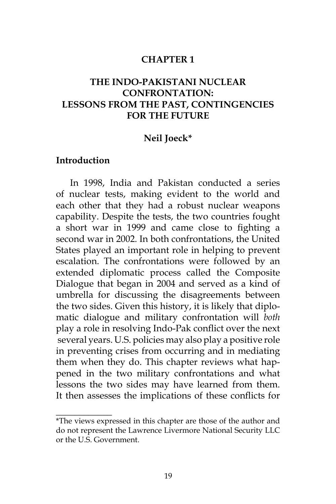#### **CHAPTER 1**

# **THE INDO-PAKISTANI NUCLEAR CONFRONTATION: LESSONS FROM THE PAST, CONTINGENCIES FOR THE FUTURE**

#### **Neil Joeck\***

#### **Introduction**

 $\overline{\phantom{a}}$  , where  $\overline{\phantom{a}}$ 

In 1998, India and Pakistan conducted a series of nuclear tests, making evident to the world and each other that they had a robust nuclear weapons capability. Despite the tests, the two countries fought a short war in 1999 and came close to fighting a second war in 2002. In both confrontations, the United States played an important role in helping to prevent escalation. The confrontations were followed by an extended diplomatic process called the Composite Dialogue that began in 2004 and served as a kind of umbrella for discussing the disagreements between the two sides. Given this history, it is likely that diplomatic dialogue and military confrontation will *both* play a role in resolving Indo-Pak conflict over the next several years. U.S. policies may also play a positive role in preventing crises from occurring and in mediating them when they do. This chapter reviews what happened in the two military confrontations and what lessons the two sides may have learned from them. It then assesses the implications of these conflicts for

<sup>\*</sup>The views expressed in this chapter are those of the author and do not represent the Lawrence Livermore National Security LLC or the U.S. Government.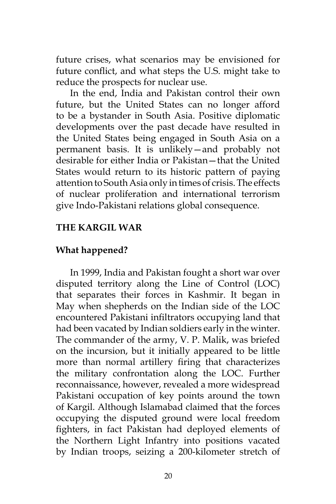future crises, what scenarios may be envisioned for future conflict, and what steps the U.S. might take to reduce the prospects for nuclear use.

In the end, India and Pakistan control their own future, but the United States can no longer afford to be a bystander in South Asia. Positive diplomatic developments over the past decade have resulted in the United States being engaged in South Asia on a permanent basis. It is unlikely—and probably not desirable for either India or Pakistan—that the United States would return to its historic pattern of paying attention to South Asia only in times of crisis. The effects of nuclear proliferation and international terrorism give Indo-Pakistani relations global consequence.

# **THE KARGIL WAR**

# **What happened?**

In 1999, India and Pakistan fought a short war over disputed territory along the Line of Control (LOC) that separates their forces in Kashmir. It began in May when shepherds on the Indian side of the LOC encountered Pakistani infiltrators occupying land that had been vacated by Indian soldiers early in the winter. The commander of the army, V. P. Malik, was briefed on the incursion, but it initially appeared to be little more than normal artillery firing that characterizes the military confrontation along the LOC. Further reconnaissance, however, revealed a more widespread Pakistani occupation of key points around the town of Kargil. Although Islamabad claimed that the forces occupying the disputed ground were local freedom fighters, in fact Pakistan had deployed elements of the Northern Light Infantry into positions vacated by Indian troops, seizing a 200-kilometer stretch of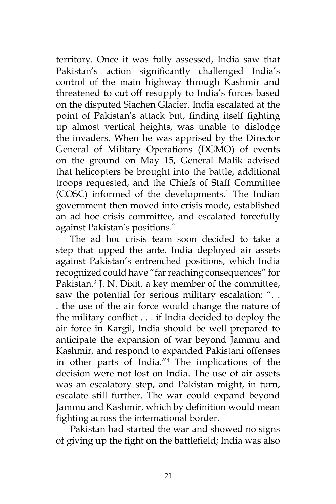territory. Once it was fully assessed, India saw that Pakistan's action significantly challenged India's control of the main highway through Kashmir and threatened to cut off resupply to India's forces based on the disputed Siachen Glacier. India escalated at the point of Pakistan's attack but, finding itself fighting up almost vertical heights, was unable to dislodge the invaders. When he was apprised by the Director General of Military Operations (DGMO) of events on the ground on May 15, General Malik advised that helicopters be brought into the battle, additional troops requested, and the Chiefs of Staff Committee (COSC) informed of the developments.<sup>1</sup> The Indian government then moved into crisis mode, established an ad hoc crisis committee, and escalated forcefully against Pakistan's positions.2

The ad hoc crisis team soon decided to take a step that upped the ante. India deployed air assets against Pakistan's entrenched positions, which India recognized could have "far reaching consequences" for Pakistan.<sup>3</sup> J. N. Dixit, a key member of the committee, saw the potential for serious military escalation: "... . the use of the air force would change the nature of the military conflict . . . if India decided to deploy the air force in Kargil, India should be well prepared to anticipate the expansion of war beyond Jammu and Kashmir, and respond to expanded Pakistani offenses in other parts of India."4 The implications of the decision were not lost on India. The use of air assets was an escalatory step, and Pakistan might, in turn, escalate still further. The war could expand beyond Jammu and Kashmir, which by definition would mean fighting across the international border.

Pakistan had started the war and showed no signs of giving up the fight on the battlefield; India was also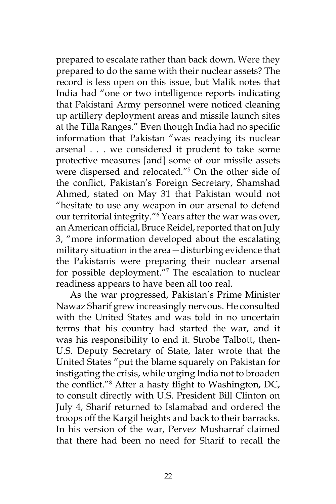prepared to escalate rather than back down. Were they prepared to do the same with their nuclear assets? The record is less open on this issue, but Malik notes that India had "one or two intelligence reports indicating that Pakistani Army personnel were noticed cleaning up artillery deployment areas and missile launch sites at the Tilla Ranges." Even though India had no specific information that Pakistan "was readying its nuclear arsenal . . . we considered it prudent to take some protective measures [and] some of our missile assets were dispersed and relocated."5 On the other side of the conflict, Pakistan's Foreign Secretary, Shamshad Ahmed, stated on May 31 that Pakistan would not "hesitate to use any weapon in our arsenal to defend our territorial integrity."<sup>6</sup> Years after the war was over, an American official, Bruce Reidel, reported that on July 3, "more information developed about the escalating military situation in the area—disturbing evidence that the Pakistanis were preparing their nuclear arsenal for possible deployment."7 The escalation to nuclear readiness appears to have been all too real.

As the war progressed, Pakistan's Prime Minister Nawaz Sharif grew increasingly nervous. He consulted with the United States and was told in no uncertain terms that his country had started the war, and it was his responsibility to end it. Strobe Talbott, then-U.S. Deputy Secretary of State, later wrote that the United States "put the blame squarely on Pakistan for instigating the crisis, while urging India not to broaden the conflict."8 After a hasty flight to Washington, DC, to consult directly with U.S. President Bill Clinton on July 4, Sharif returned to Islamabad and ordered the troops off the Kargil heights and back to their barracks. In his version of the war, Pervez Musharraf claimed that there had been no need for Sharif to recall the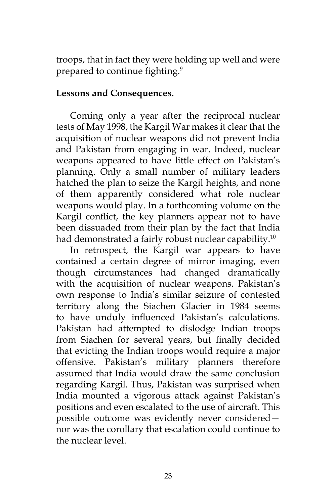troops, that in fact they were holding up well and were prepared to continue fighting.<sup>9</sup>

### **Lessons and Consequences.**

Coming only a year after the reciprocal nuclear tests of May 1998, the Kargil War makes it clear that the acquisition of nuclear weapons did not prevent India and Pakistan from engaging in war. Indeed, nuclear weapons appeared to have little effect on Pakistan's planning. Only a small number of military leaders hatched the plan to seize the Kargil heights, and none of them apparently considered what role nuclear weapons would play. In a forthcoming volume on the Kargil conflict, the key planners appear not to have been dissuaded from their plan by the fact that India had demonstrated a fairly robust nuclear capability.<sup>10</sup>

In retrospect, the Kargil war appears to have contained a certain degree of mirror imaging, even though circumstances had changed dramatically with the acquisition of nuclear weapons. Pakistan's own response to India's similar seizure of contested territory along the Siachen Glacier in 1984 seems to have unduly influenced Pakistan's calculations. Pakistan had attempted to dislodge Indian troops from Siachen for several years, but finally decided that evicting the Indian troops would require a major offensive. Pakistan's military planners therefore assumed that India would draw the same conclusion regarding Kargil. Thus, Pakistan was surprised when India mounted a vigorous attack against Pakistan's positions and even escalated to the use of aircraft. This possible outcome was evidently never considered nor was the corollary that escalation could continue to the nuclear level.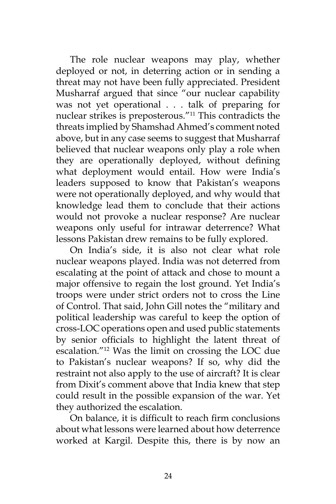The role nuclear weapons may play, whether deployed or not, in deterring action or in sending a threat may not have been fully appreciated. President Musharraf argued that since "our nuclear capability was not yet operational . . . talk of preparing for nuclear strikes is preposterous."11 This contradicts the threats implied by Shamshad Ahmed's comment noted above, but in any case seems to suggest that Musharraf believed that nuclear weapons only play a role when they are operationally deployed, without defining what deployment would entail. How were India's leaders supposed to know that Pakistan's weapons were not operationally deployed, and why would that knowledge lead them to conclude that their actions would not provoke a nuclear response? Are nuclear weapons only useful for intrawar deterrence? What lessons Pakistan drew remains to be fully explored.

On India's side, it is also not clear what role nuclear weapons played. India was not deterred from escalating at the point of attack and chose to mount a major offensive to regain the lost ground. Yet India's troops were under strict orders not to cross the Line of Control. That said, John Gill notes the "military and political leadership was careful to keep the option of cross-LOC operations open and used public statements by senior officials to highlight the latent threat of escalation."12 Was the limit on crossing the LOC due to Pakistan's nuclear weapons? If so, why did the restraint not also apply to the use of aircraft? It is clear from Dixit's comment above that India knew that step could result in the possible expansion of the war. Yet they authorized the escalation.

On balance, it is difficult to reach firm conclusions about what lessons were learned about how deterrence worked at Kargil. Despite this, there is by now an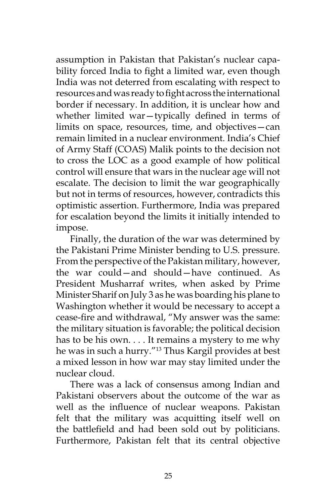assumption in Pakistan that Pakistan's nuclear capability forced India to fight a limited war, even though India was not deterred from escalating with respect to resources and was ready to fight across the international border if necessary. In addition, it is unclear how and whether limited war—typically defined in terms of limits on space, resources, time, and objectives—can remain limited in a nuclear environment. India's Chief of Army Staff (COAS) Malik points to the decision not to cross the LOC as a good example of how political control will ensure that wars in the nuclear age will not escalate. The decision to limit the war geographically but not in terms of resources, however, contradicts this optimistic assertion. Furthermore, India was prepared for escalation beyond the limits it initially intended to impose.

Finally, the duration of the war was determined by the Pakistani Prime Minister bending to U.S. pressure. From the perspective of the Pakistan military, however, the war could—and should—have continued. As President Musharraf writes, when asked by Prime Minister Sharif on July 3 as he was boarding his plane to Washington whether it would be necessary to accept a cease-fire and withdrawal, "My answer was the same: the military situation is favorable; the political decision has to be his own. . . . It remains a mystery to me why he was in such a hurry."13 Thus Kargil provides at best a mixed lesson in how war may stay limited under the nuclear cloud.

There was a lack of consensus among Indian and Pakistani observers about the outcome of the war as well as the influence of nuclear weapons. Pakistan felt that the military was acquitting itself well on the battlefield and had been sold out by politicians. Furthermore, Pakistan felt that its central objective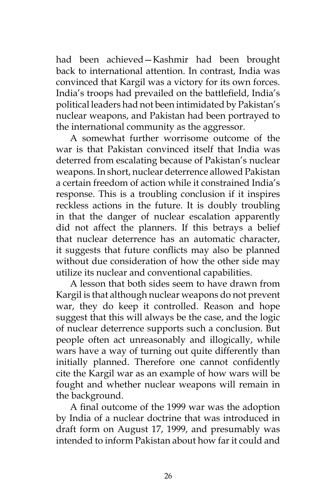had been achieved—Kashmir had been brought back to international attention. In contrast, India was convinced that Kargil was a victory for its own forces. India's troops had prevailed on the battlefield, India's political leaders had not been intimidated by Pakistan's nuclear weapons, and Pakistan had been portrayed to the international community as the aggressor.

A somewhat further worrisome outcome of the war is that Pakistan convinced itself that India was deterred from escalating because of Pakistan's nuclear weapons. In short, nuclear deterrence allowed Pakistan a certain freedom of action while it constrained India's response. This is a troubling conclusion if it inspires reckless actions in the future. It is doubly troubling in that the danger of nuclear escalation apparently did not affect the planners. If this betrays a belief that nuclear deterrence has an automatic character, it suggests that future conflicts may also be planned without due consideration of how the other side may utilize its nuclear and conventional capabilities.

A lesson that both sides seem to have drawn from Kargil is that although nuclear weapons do not prevent war, they do keep it controlled. Reason and hope suggest that this will always be the case, and the logic of nuclear deterrence supports such a conclusion. But people often act unreasonably and illogically, while wars have a way of turning out quite differently than initially planned. Therefore one cannot confidently cite the Kargil war as an example of how wars will be fought and whether nuclear weapons will remain in the background.

A final outcome of the 1999 war was the adoption by India of a nuclear doctrine that was introduced in draft form on August 17, 1999, and presumably was intended to inform Pakistan about how far it could and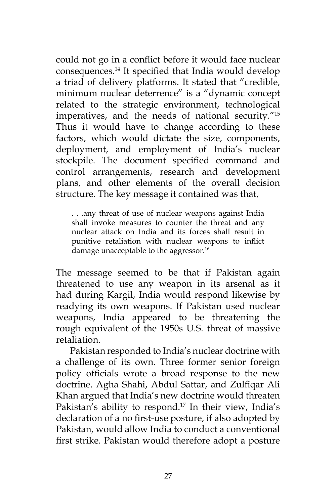could not go in a conflict before it would face nuclear consequences.14 It specified that India would develop a triad of delivery platforms. It stated that "credible, minimum nuclear deterrence" is a "dynamic concept related to the strategic environment, technological imperatives, and the needs of national security."15 Thus it would have to change according to these factors, which would dictate the size, components, deployment, and employment of India's nuclear stockpile. The document specified command and control arrangements, research and development plans, and other elements of the overall decision structure. The key message it contained was that,

. . .any threat of use of nuclear weapons against India shall invoke measures to counter the threat and any nuclear attack on India and its forces shall result in punitive retaliation with nuclear weapons to inflict damage unacceptable to the aggressor.<sup>16</sup>

The message seemed to be that if Pakistan again threatened to use any weapon in its arsenal as it had during Kargil, India would respond likewise by readying its own weapons. If Pakistan used nuclear weapons, India appeared to be threatening the rough equivalent of the 1950s U.S. threat of massive retaliation.

Pakistan responded to India's nuclear doctrine with a challenge of its own. Three former senior foreign policy officials wrote a broad response to the new doctrine. Agha Shahi, Abdul Sattar, and Zulfiqar Ali Khan argued that India's new doctrine would threaten Pakistan's ability to respond.<sup>17</sup> In their view, India's declaration of a no first-use posture, if also adopted by Pakistan, would allow India to conduct a conventional first strike. Pakistan would therefore adopt a posture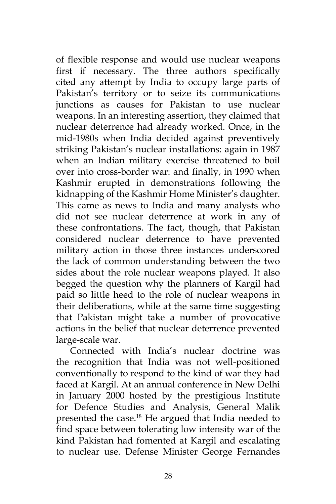of flexible response and would use nuclear weapons first if necessary. The three authors specifically cited any attempt by India to occupy large parts of Pakistan's territory or to seize its communications junctions as causes for Pakistan to use nuclear weapons. In an interesting assertion, they claimed that nuclear deterrence had already worked. Once, in the mid-1980s when India decided against preventively striking Pakistan's nuclear installations: again in 1987 when an Indian military exercise threatened to boil over into cross-border war: and finally, in 1990 when Kashmir erupted in demonstrations following the kidnapping of the Kashmir Home Minister's daughter. This came as news to India and many analysts who did not see nuclear deterrence at work in any of these confrontations. The fact, though, that Pakistan considered nuclear deterrence to have prevented military action in those three instances underscored the lack of common understanding between the two sides about the role nuclear weapons played. It also begged the question why the planners of Kargil had paid so little heed to the role of nuclear weapons in their deliberations, while at the same time suggesting that Pakistan might take a number of provocative actions in the belief that nuclear deterrence prevented large-scale war.

Connected with India's nuclear doctrine was the recognition that India was not well-positioned conventionally to respond to the kind of war they had faced at Kargil. At an annual conference in New Delhi in January 2000 hosted by the prestigious Institute for Defence Studies and Analysis, General Malik presented the case.<sup>18</sup> He argued that India needed to find space between tolerating low intensity war of the kind Pakistan had fomented at Kargil and escalating to nuclear use. Defense Minister George Fernandes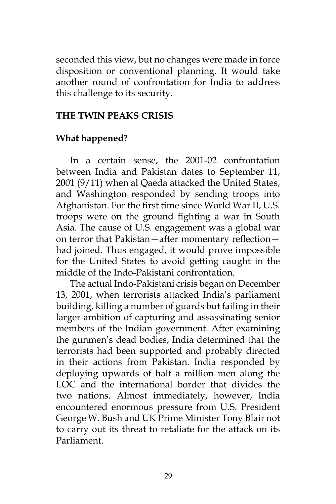seconded this view, but no changes were made in force disposition or conventional planning. It would take another round of confrontation for India to address this challenge to its security.

### **THE TWIN PEAKS CRISIS**

### **What happened?**

In a certain sense, the 2001-02 confrontation between India and Pakistan dates to September 11, 2001 (9/11) when al Qaeda attacked the United States, and Washington responded by sending troops into Afghanistan. For the first time since World War II, U.S. troops were on the ground fighting a war in South Asia. The cause of U.S. engagement was a global war on terror that Pakistan—after momentary reflection had joined. Thus engaged, it would prove impossible for the United States to avoid getting caught in the middle of the Indo-Pakistani confrontation.

The actual Indo-Pakistani crisis began on December 13, 2001, when terrorists attacked India's parliament building, killing a number of guards but failing in their larger ambition of capturing and assassinating senior members of the Indian government. After examining the gunmen's dead bodies, India determined that the terrorists had been supported and probably directed in their actions from Pakistan. India responded by deploying upwards of half a million men along the LOC and the international border that divides the two nations. Almost immediately, however, India encountered enormous pressure from U.S. President George W. Bush and UK Prime Minister Tony Blair not to carry out its threat to retaliate for the attack on its Parliament.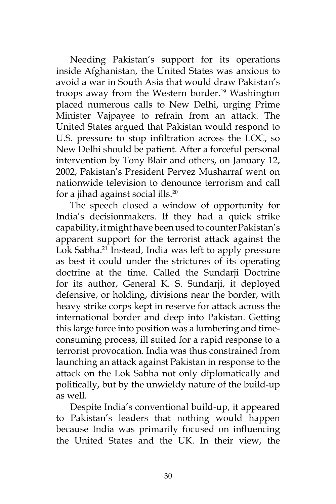Needing Pakistan's support for its operations inside Afghanistan, the United States was anxious to avoid a war in South Asia that would draw Pakistan's troops away from the Western border.<sup>19</sup> Washington placed numerous calls to New Delhi, urging Prime Minister Vajpayee to refrain from an attack. The United States argued that Pakistan would respond to U.S. pressure to stop infiltration across the LOC, so New Delhi should be patient. After a forceful personal intervention by Tony Blair and others, on January 12, 2002, Pakistan's President Pervez Musharraf went on nationwide television to denounce terrorism and call for a jihad against social ills.<sup>20</sup>

The speech closed a window of opportunity for India's decisionmakers. If they had a quick strike capability, it might have been used to counter Pakistan's apparent support for the terrorist attack against the Lok Sabha.<sup>21</sup> Instead, India was left to apply pressure as best it could under the strictures of its operating doctrine at the time. Called the Sundarji Doctrine for its author, General K. S. Sundarji, it deployed defensive, or holding, divisions near the border, with heavy strike corps kept in reserve for attack across the international border and deep into Pakistan. Getting this large force into position was a lumbering and timeconsuming process, ill suited for a rapid response to a terrorist provocation. India was thus constrained from launching an attack against Pakistan in response to the attack on the Lok Sabha not only diplomatically and politically, but by the unwieldy nature of the build-up as well.

Despite India's conventional build-up, it appeared to Pakistan's leaders that nothing would happen because India was primarily focused on influencing the United States and the UK. In their view, the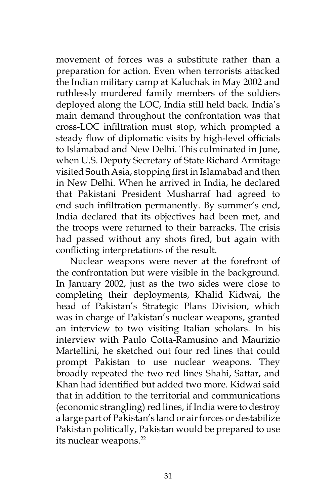movement of forces was a substitute rather than a preparation for action. Even when terrorists attacked the Indian military camp at Kaluchak in May 2002 and ruthlessly murdered family members of the soldiers deployed along the LOC, India still held back. India's main demand throughout the confrontation was that cross-LOC infiltration must stop, which prompted a steady flow of diplomatic visits by high-level officials to Islamabad and New Delhi. This culminated in June, when U.S. Deputy Secretary of State Richard Armitage visited South Asia, stopping first in Islamabad and then in New Delhi. When he arrived in India, he declared that Pakistani President Musharraf had agreed to end such infiltration permanently. By summer's end, India declared that its objectives had been met, and the troops were returned to their barracks. The crisis had passed without any shots fired, but again with conflicting interpretations of the result.

Nuclear weapons were never at the forefront of the confrontation but were visible in the background. In January 2002, just as the two sides were close to completing their deployments, Khalid Kidwai, the head of Pakistan's Strategic Plans Division, which was in charge of Pakistan's nuclear weapons, granted an interview to two visiting Italian scholars. In his interview with Paulo Cotta-Ramusino and Maurizio Martellini, he sketched out four red lines that could prompt Pakistan to use nuclear weapons. They broadly repeated the two red lines Shahi, Sattar, and Khan had identified but added two more. Kidwai said that in addition to the territorial and communications (economic strangling) red lines, if India were to destroy a large part of Pakistan's land or air forces or destabilize Pakistan politically, Pakistan would be prepared to use its nuclear weapons.<sup>22</sup>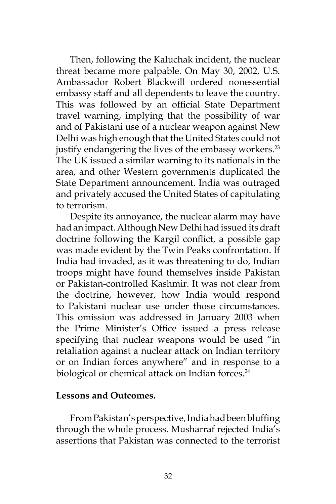Then, following the Kaluchak incident, the nuclear threat became more palpable. On May 30, 2002, U.S. Ambassador Robert Blackwill ordered nonessential embassy staff and all dependents to leave the country. This was followed by an official State Department travel warning, implying that the possibility of war and of Pakistani use of a nuclear weapon against New Delhi was high enough that the United States could not justify endangering the lives of the embassy workers.<sup>23</sup> The UK issued a similar warning to its nationals in the area, and other Western governments duplicated the State Department announcement. India was outraged and privately accused the United States of capitulating to terrorism.

Despite its annoyance, the nuclear alarm may have had an impact. Although New Delhi had issued its draft doctrine following the Kargil conflict, a possible gap was made evident by the Twin Peaks confrontation. If India had invaded, as it was threatening to do, Indian troops might have found themselves inside Pakistan or Pakistan-controlled Kashmir. It was not clear from the doctrine, however, how India would respond to Pakistani nuclear use under those circumstances. This omission was addressed in January 2003 when the Prime Minister's Office issued a press release specifying that nuclear weapons would be used "in retaliation against a nuclear attack on Indian territory or on Indian forces anywhere" and in response to a biological or chemical attack on Indian forces.<sup>24</sup>

### **Lessons and Outcomes.**

From Pakistan's perspective, India had been bluffing through the whole process. Musharraf rejected India's assertions that Pakistan was connected to the terrorist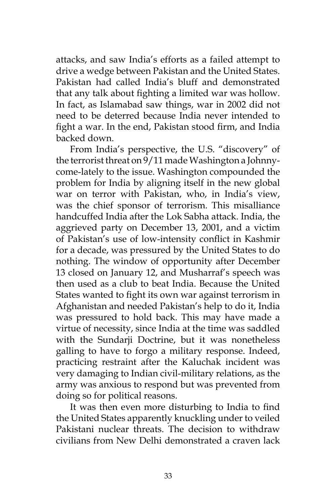attacks, and saw India's efforts as a failed attempt to drive a wedge between Pakistan and the United States. Pakistan had called India's bluff and demonstrated that any talk about fighting a limited war was hollow. In fact, as Islamabad saw things, war in 2002 did not need to be deterred because India never intended to fight a war. In the end, Pakistan stood firm, and India backed down.

From India's perspective, the U.S. "discovery" of the terrorist threat on 9/11 made Washington a Johnnycome-lately to the issue. Washington compounded the problem for India by aligning itself in the new global war on terror with Pakistan, who, in India's view, was the chief sponsor of terrorism. This misalliance handcuffed India after the Lok Sabha attack. India, the aggrieved party on December 13, 2001, and a victim of Pakistan's use of low-intensity conflict in Kashmir for a decade, was pressured by the United States to do nothing. The window of opportunity after December 13 closed on January 12, and Musharraf's speech was then used as a club to beat India. Because the United States wanted to fight its own war against terrorism in Afghanistan and needed Pakistan's help to do it, India was pressured to hold back. This may have made a virtue of necessity, since India at the time was saddled with the Sundarji Doctrine, but it was nonetheless galling to have to forgo a military response. Indeed, practicing restraint after the Kaluchak incident was very damaging to Indian civil-military relations, as the army was anxious to respond but was prevented from doing so for political reasons.

It was then even more disturbing to India to find the United States apparently knuckling under to veiled Pakistani nuclear threats. The decision to withdraw civilians from New Delhi demonstrated a craven lack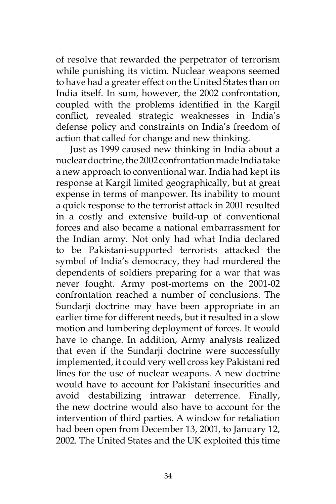of resolve that rewarded the perpetrator of terrorism while punishing its victim. Nuclear weapons seemed to have had a greater effect on the United States than on India itself. In sum, however, the 2002 confrontation, coupled with the problems identified in the Kargil conflict, revealed strategic weaknesses in India's defense policy and constraints on India's freedom of action that called for change and new thinking.

Just as 1999 caused new thinking in India about a nuclear doctrine, the 2002 confrontation made India take a new approach to conventional war. India had kept its response at Kargil limited geographically, but at great expense in terms of manpower. Its inability to mount a quick response to the terrorist attack in 2001 resulted in a costly and extensive build-up of conventional forces and also became a national embarrassment for the Indian army. Not only had what India declared to be Pakistani-supported terrorists attacked the symbol of India's democracy, they had murdered the dependents of soldiers preparing for a war that was never fought. Army post-mortems on the 2001-02 confrontation reached a number of conclusions. The Sundarji doctrine may have been appropriate in an earlier time for different needs, but it resulted in a slow motion and lumbering deployment of forces. It would have to change. In addition, Army analysts realized that even if the Sundarji doctrine were successfully implemented, it could very well cross key Pakistani red lines for the use of nuclear weapons. A new doctrine would have to account for Pakistani insecurities and avoid destabilizing intrawar deterrence. Finally, the new doctrine would also have to account for the intervention of third parties. A window for retaliation had been open from December 13, 2001, to January 12, 2002. The United States and the UK exploited this time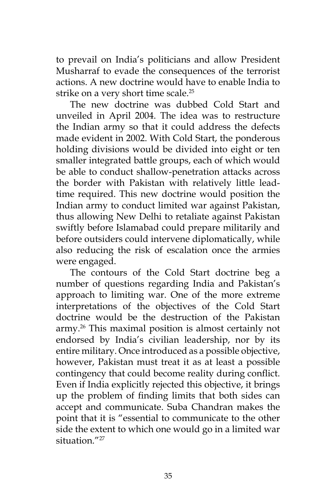to prevail on India's politicians and allow President Musharraf to evade the consequences of the terrorist actions. A new doctrine would have to enable India to strike on a very short time scale.<sup>25</sup>

The new doctrine was dubbed Cold Start and unveiled in April 2004. The idea was to restructure the Indian army so that it could address the defects made evident in 2002. With Cold Start, the ponderous holding divisions would be divided into eight or ten smaller integrated battle groups, each of which would be able to conduct shallow-penetration attacks across the border with Pakistan with relatively little leadtime required. This new doctrine would position the Indian army to conduct limited war against Pakistan, thus allowing New Delhi to retaliate against Pakistan swiftly before Islamabad could prepare militarily and before outsiders could intervene diplomatically, while also reducing the risk of escalation once the armies were engaged.

The contours of the Cold Start doctrine beg a number of questions regarding India and Pakistan's approach to limiting war. One of the more extreme interpretations of the objectives of the Cold Start doctrine would be the destruction of the Pakistan army.26 This maximal position is almost certainly not endorsed by India's civilian leadership, nor by its entire military. Once introduced as a possible objective, however, Pakistan must treat it as at least a possible contingency that could become reality during conflict. Even if India explicitly rejected this objective, it brings up the problem of finding limits that both sides can accept and communicate. Suba Chandran makes the point that it is "essential to communicate to the other side the extent to which one would go in a limited war  $s$ ituation $127$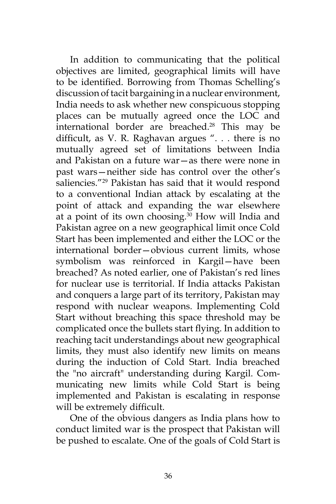In addition to communicating that the political objectives are limited, geographical limits will have to be identified. Borrowing from Thomas Schelling's discussion of tacit bargaining in a nuclear environment, India needs to ask whether new conspicuous stopping places can be mutually agreed once the LOC and international border are breached.<sup>28</sup> This may be difficult, as V. R. Raghavan argues ". . . there is no mutually agreed set of limitations between India and Pakistan on a future war—as there were none in past wars—neither side has control over the other's saliencies."29 Pakistan has said that it would respond to a conventional Indian attack by escalating at the point of attack and expanding the war elsewhere at a point of its own choosing. $30$  How will India and Pakistan agree on a new geographical limit once Cold Start has been implemented and either the LOC or the international border—obvious current limits, whose symbolism was reinforced in Kargil—have been breached? As noted earlier, one of Pakistan's red lines for nuclear use is territorial. If India attacks Pakistan and conquers a large part of its territory, Pakistan may respond with nuclear weapons. Implementing Cold Start without breaching this space threshold may be complicated once the bullets start flying. In addition to reaching tacit understandings about new geographical limits, they must also identify new limits on means during the induction of Cold Start. India breached the "no aircraft" understanding during Kargil. Communicating new limits while Cold Start is being implemented and Pakistan is escalating in response will be extremely difficult.

One of the obvious dangers as India plans how to conduct limited war is the prospect that Pakistan will be pushed to escalate. One of the goals of Cold Start is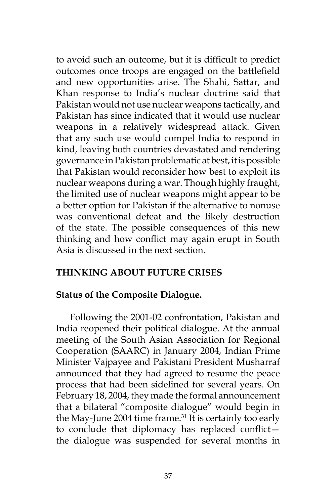to avoid such an outcome, but it is difficult to predict outcomes once troops are engaged on the battlefield and new opportunities arise. The Shahi, Sattar, and Khan response to India's nuclear doctrine said that Pakistan would not use nuclear weapons tactically, and Pakistan has since indicated that it would use nuclear weapons in a relatively widespread attack. Given that any such use would compel India to respond in kind, leaving both countries devastated and rendering governance in Pakistan problematic at best, it is possible that Pakistan would reconsider how best to exploit its nuclear weapons during a war. Though highly fraught, the limited use of nuclear weapons might appear to be a better option for Pakistan if the alternative to nonuse was conventional defeat and the likely destruction of the state. The possible consequences of this new thinking and how conflict may again erupt in South Asia is discussed in the next section.

### **THINKING ABOUT FUTURE CRISES**

### **Status of the Composite Dialogue.**

Following the 2001-02 confrontation, Pakistan and India reopened their political dialogue. At the annual meeting of the South Asian Association for Regional Cooperation (SAARC) in January 2004, Indian Prime Minister Vajpayee and Pakistani President Musharraf announced that they had agreed to resume the peace process that had been sidelined for several years. On February 18, 2004, they made the formal announcement that a bilateral "composite dialogue" would begin in the May-June 2004 time frame. $31$  It is certainly too early to conclude that diplomacy has replaced conflict the dialogue was suspended for several months in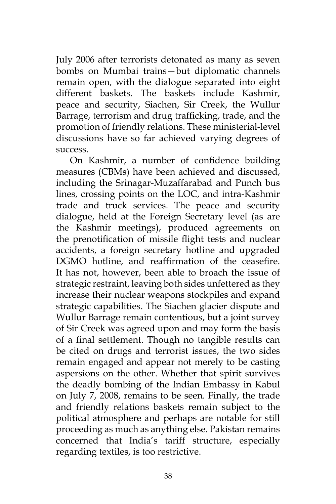July 2006 after terrorists detonated as many as seven bombs on Mumbai trains—but diplomatic channels remain open, with the dialogue separated into eight different baskets. The baskets include Kashmir, peace and security, Siachen, Sir Creek, the Wullur Barrage, terrorism and drug trafficking, trade, and the promotion of friendly relations. These ministerial-level discussions have so far achieved varying degrees of success.

On Kashmir, a number of confidence building measures (CBMs) have been achieved and discussed, including the Srinagar-Muzaffarabad and Punch bus lines, crossing points on the LOC, and intra-Kashmir trade and truck services. The peace and security dialogue, held at the Foreign Secretary level (as are the Kashmir meetings), produced agreements on the prenotification of missile flight tests and nuclear accidents, a foreign secretary hotline and upgraded DGMO hotline, and reaffirmation of the ceasefire. It has not, however, been able to broach the issue of strategic restraint, leaving both sides unfettered as they increase their nuclear weapons stockpiles and expand strategic capabilities. The Siachen glacier dispute and Wullur Barrage remain contentious, but a joint survey of Sir Creek was agreed upon and may form the basis of a final settlement. Though no tangible results can be cited on drugs and terrorist issues, the two sides remain engaged and appear not merely to be casting aspersions on the other. Whether that spirit survives the deadly bombing of the Indian Embassy in Kabul on July 7, 2008, remains to be seen. Finally, the trade and friendly relations baskets remain subject to the political atmosphere and perhaps are notable for still proceeding as much as anything else. Pakistan remains concerned that India's tariff structure, especially regarding textiles, is too restrictive.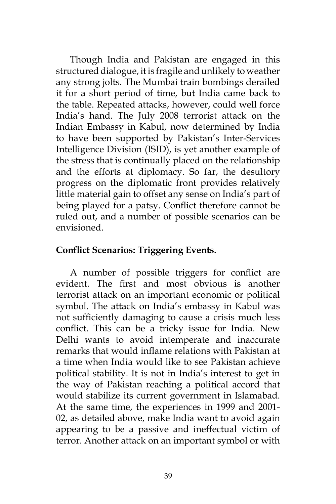Though India and Pakistan are engaged in this structured dialogue, it is fragile and unlikely to weather any strong jolts. The Mumbai train bombings derailed it for a short period of time, but India came back to the table. Repeated attacks, however, could well force India's hand. The July 2008 terrorist attack on the Indian Embassy in Kabul, now determined by India to have been supported by Pakistan's Inter-Services Intelligence Division (ISID), is yet another example of the stress that is continually placed on the relationship and the efforts at diplomacy. So far, the desultory progress on the diplomatic front provides relatively little material gain to offset any sense on India's part of being played for a patsy. Conflict therefore cannot be ruled out, and a number of possible scenarios can be envisioned.

## **Conflict Scenarios: Triggering Events.**

A number of possible triggers for conflict are evident. The first and most obvious is another terrorist attack on an important economic or political symbol. The attack on India's embassy in Kabul was not sufficiently damaging to cause a crisis much less conflict. This can be a tricky issue for India. New Delhi wants to avoid intemperate and inaccurate remarks that would inflame relations with Pakistan at a time when India would like to see Pakistan achieve political stability. It is not in India's interest to get in the way of Pakistan reaching a political accord that would stabilize its current government in Islamabad. At the same time, the experiences in 1999 and 2001- 02, as detailed above, make India want to avoid again appearing to be a passive and ineffectual victim of terror. Another attack on an important symbol or with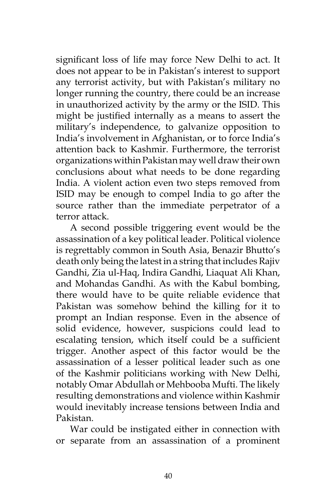significant loss of life may force New Delhi to act. It does not appear to be in Pakistan's interest to support any terrorist activity, but with Pakistan's military no longer running the country, there could be an increase in unauthorized activity by the army or the ISID. This might be justified internally as a means to assert the military's independence, to galvanize opposition to India's involvement in Afghanistan, or to force India's attention back to Kashmir. Furthermore, the terrorist organizations within Pakistan may well draw their own conclusions about what needs to be done regarding India. A violent action even two steps removed from ISID may be enough to compel India to go after the source rather than the immediate perpetrator of a terror attack.

A second possible triggering event would be the assassination of a key political leader. Political violence is regrettably common in South Asia, Benazir Bhutto's death only being the latest in a string that includes Rajiv Gandhi, Zia ul-Haq, Indira Gandhi, Liaquat Ali Khan, and Mohandas Gandhi. As with the Kabul bombing, there would have to be quite reliable evidence that Pakistan was somehow behind the killing for it to prompt an Indian response. Even in the absence of solid evidence, however, suspicions could lead to escalating tension, which itself could be a sufficient trigger. Another aspect of this factor would be the assassination of a lesser political leader such as one of the Kashmir politicians working with New Delhi, notably Omar Abdullah or Mehbooba Mufti. The likely resulting demonstrations and violence within Kashmir would inevitably increase tensions between India and Pakistan.

War could be instigated either in connection with or separate from an assassination of a prominent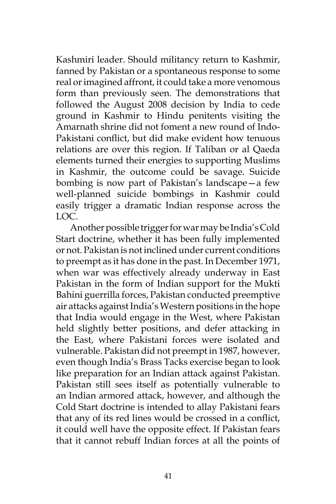Kashmiri leader. Should militancy return to Kashmir, fanned by Pakistan or a spontaneous response to some real or imagined affront, it could take a more venomous form than previously seen. The demonstrations that followed the August 2008 decision by India to cede ground in Kashmir to Hindu penitents visiting the Amarnath shrine did not foment a new round of Indo-Pakistani conflict, but did make evident how tenuous relations are over this region. If Taliban or al Qaeda elements turned their energies to supporting Muslims in Kashmir, the outcome could be savage. Suicide bombing is now part of Pakistan's landscape—a few well-planned suicide bombings in Kashmir could easily trigger a dramatic Indian response across the LOC.

Another possible trigger for war may be India's Cold Start doctrine, whether it has been fully implemented or not. Pakistan is not inclined under current conditions to preempt as it has done in the past. In December 1971, when war was effectively already underway in East Pakistan in the form of Indian support for the Mukti Bahini guerrilla forces, Pakistan conducted preemptive air attacks against India's Western positions in the hope that India would engage in the West, where Pakistan held slightly better positions, and defer attacking in the East, where Pakistani forces were isolated and vulnerable. Pakistan did not preempt in 1987, however, even though India's Brass Tacks exercise began to look like preparation for an Indian attack against Pakistan. Pakistan still sees itself as potentially vulnerable to an Indian armored attack, however, and although the Cold Start doctrine is intended to allay Pakistani fears that any of its red lines would be crossed in a conflict, it could well have the opposite effect. If Pakistan fears that it cannot rebuff Indian forces at all the points of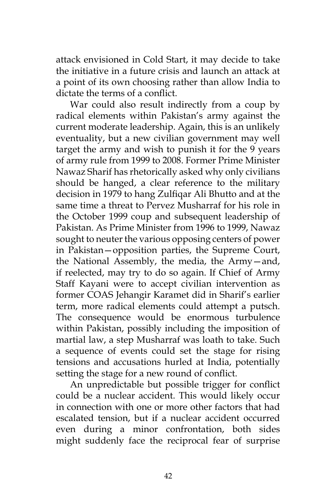attack envisioned in Cold Start, it may decide to take the initiative in a future crisis and launch an attack at a point of its own choosing rather than allow India to dictate the terms of a conflict.

War could also result indirectly from a coup by radical elements within Pakistan's army against the current moderate leadership. Again, this is an unlikely eventuality, but a new civilian government may well target the army and wish to punish it for the 9 years of army rule from 1999 to 2008. Former Prime Minister Nawaz Sharif has rhetorically asked why only civilians should be hanged, a clear reference to the military decision in 1979 to hang Zulfiqar Ali Bhutto and at the same time a threat to Pervez Musharraf for his role in the October 1999 coup and subsequent leadership of Pakistan. As Prime Minister from 1996 to 1999, Nawaz sought to neuter the various opposing centers of power in Pakistan—opposition parties, the Supreme Court, the National Assembly, the media, the Army—and, if reelected, may try to do so again. If Chief of Army Staff Kayani were to accept civilian intervention as former COAS Jehangir Karamet did in Sharif's earlier term, more radical elements could attempt a putsch. The consequence would be enormous turbulence within Pakistan, possibly including the imposition of martial law, a step Musharraf was loath to take. Such a sequence of events could set the stage for rising tensions and accusations hurled at India, potentially setting the stage for a new round of conflict.

An unpredictable but possible trigger for conflict could be a nuclear accident. This would likely occur in connection with one or more other factors that had escalated tension, but if a nuclear accident occurred even during a minor confrontation, both sides might suddenly face the reciprocal fear of surprise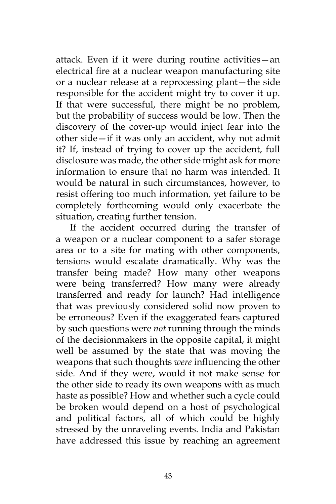attack. Even if it were during routine activities—an electrical fire at a nuclear weapon manufacturing site or a nuclear release at a reprocessing plant—the side responsible for the accident might try to cover it up. If that were successful, there might be no problem, but the probability of success would be low. Then the discovery of the cover-up would inject fear into the other side—if it was only an accident, why not admit it? If, instead of trying to cover up the accident, full disclosure was made, the other side might ask for more information to ensure that no harm was intended. It would be natural in such circumstances, however, to resist offering too much information, yet failure to be completely forthcoming would only exacerbate the situation, creating further tension.

If the accident occurred during the transfer of a weapon or a nuclear component to a safer storage area or to a site for mating with other components, tensions would escalate dramatically. Why was the transfer being made? How many other weapons were being transferred? How many were already transferred and ready for launch? Had intelligence that was previously considered solid now proven to be erroneous? Even if the exaggerated fears captured by such questions were *not* running through the minds of the decisionmakers in the opposite capital, it might well be assumed by the state that was moving the weapons that such thoughts *were* influencing the other side. And if they were, would it not make sense for the other side to ready its own weapons with as much haste as possible? How and whether such a cycle could be broken would depend on a host of psychological and political factors, all of which could be highly stressed by the unraveling events. India and Pakistan have addressed this issue by reaching an agreement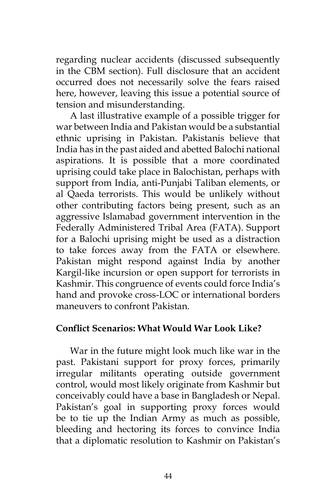regarding nuclear accidents (discussed subsequently in the CBM section). Full disclosure that an accident occurred does not necessarily solve the fears raised here, however, leaving this issue a potential source of tension and misunderstanding.

A last illustrative example of a possible trigger for war between India and Pakistan would be a substantial ethnic uprising in Pakistan. Pakistanis believe that India has in the past aided and abetted Balochi national aspirations. It is possible that a more coordinated uprising could take place in Balochistan, perhaps with support from India, anti-Punjabi Taliban elements, or al Qaeda terrorists. This would be unlikely without other contributing factors being present, such as an aggressive Islamabad government intervention in the Federally Administered Tribal Area (FATA). Support for a Balochi uprising might be used as a distraction to take forces away from the FATA or elsewhere. Pakistan might respond against India by another Kargil-like incursion or open support for terrorists in Kashmir. This congruence of events could force India's hand and provoke cross-LOC or international borders maneuvers to confront Pakistan.

### **Conflict Scenarios: What Would War Look Like?**

War in the future might look much like war in the past. Pakistani support for proxy forces, primarily irregular militants operating outside government control, would most likely originate from Kashmir but conceivably could have a base in Bangladesh or Nepal. Pakistan's goal in supporting proxy forces would be to tie up the Indian Army as much as possible, bleeding and hectoring its forces to convince India that a diplomatic resolution to Kashmir on Pakistan's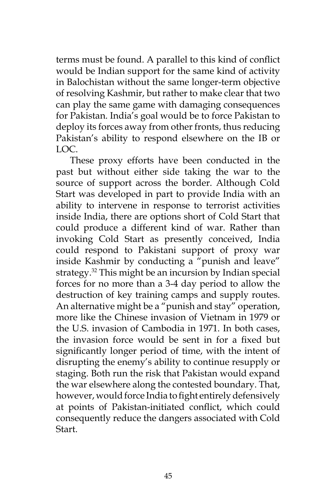terms must be found. A parallel to this kind of conflict would be Indian support for the same kind of activity in Balochistan without the same longer-term objective of resolving Kashmir, but rather to make clear that two can play the same game with damaging consequences for Pakistan. India's goal would be to force Pakistan to deploy its forces away from other fronts, thus reducing Pakistan's ability to respond elsewhere on the IB or LOC.

These proxy efforts have been conducted in the past but without either side taking the war to the source of support across the border. Although Cold Start was developed in part to provide India with an ability to intervene in response to terrorist activities inside India, there are options short of Cold Start that could produce a different kind of war. Rather than invoking Cold Start as presently conceived, India could respond to Pakistani support of proxy war inside Kashmir by conducting a "punish and leave" strategy.<sup>32</sup> This might be an incursion by Indian special forces for no more than a 3-4 day period to allow the destruction of key training camps and supply routes. An alternative might be a "punish and stay" operation, more like the Chinese invasion of Vietnam in 1979 or the U.S. invasion of Cambodia in 1971. In both cases, the invasion force would be sent in for a fixed but significantly longer period of time, with the intent of disrupting the enemy's ability to continue resupply or staging. Both run the risk that Pakistan would expand the war elsewhere along the contested boundary. That, however, would force India to fight entirely defensively at points of Pakistan-initiated conflict, which could consequently reduce the dangers associated with Cold Start.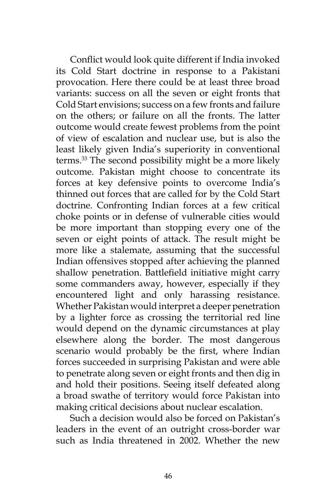Conflict would look quite different if India invoked its Cold Start doctrine in response to a Pakistani provocation. Here there could be at least three broad variants: success on all the seven or eight fronts that Cold Start envisions; success on a few fronts and failure on the others; or failure on all the fronts. The latter outcome would create fewest problems from the point of view of escalation and nuclear use, but is also the least likely given India's superiority in conventional terms.33 The second possibility might be a more likely outcome. Pakistan might choose to concentrate its forces at key defensive points to overcome India's thinned out forces that are called for by the Cold Start doctrine. Confronting Indian forces at a few critical choke points or in defense of vulnerable cities would be more important than stopping every one of the seven or eight points of attack. The result might be more like a stalemate, assuming that the successful Indian offensives stopped after achieving the planned shallow penetration. Battlefield initiative might carry some commanders away, however, especially if they encountered light and only harassing resistance. Whether Pakistan would interpret a deeper penetration by a lighter force as crossing the territorial red line would depend on the dynamic circumstances at play elsewhere along the border. The most dangerous scenario would probably be the first, where Indian forces succeeded in surprising Pakistan and were able to penetrate along seven or eight fronts and then dig in and hold their positions. Seeing itself defeated along a broad swathe of territory would force Pakistan into making critical decisions about nuclear escalation.

Such a decision would also be forced on Pakistan's leaders in the event of an outright cross-border war such as India threatened in 2002. Whether the new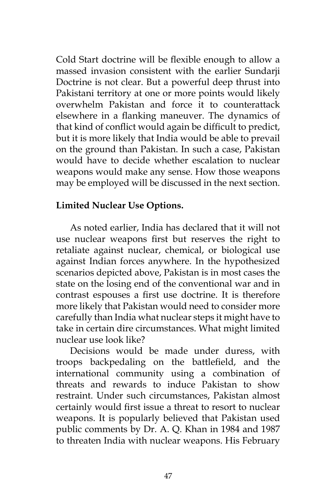Cold Start doctrine will be flexible enough to allow a massed invasion consistent with the earlier Sundarji Doctrine is not clear. But a powerful deep thrust into Pakistani territory at one or more points would likely overwhelm Pakistan and force it to counterattack elsewhere in a flanking maneuver. The dynamics of that kind of conflict would again be difficult to predict, but it is more likely that India would be able to prevail on the ground than Pakistan. In such a case, Pakistan would have to decide whether escalation to nuclear weapons would make any sense. How those weapons may be employed will be discussed in the next section.

# **Limited Nuclear Use Options.**

As noted earlier, India has declared that it will not use nuclear weapons first but reserves the right to retaliate against nuclear, chemical, or biological use against Indian forces anywhere. In the hypothesized scenarios depicted above, Pakistan is in most cases the state on the losing end of the conventional war and in contrast espouses a first use doctrine. It is therefore more likely that Pakistan would need to consider more carefully than India what nuclear steps it might have to take in certain dire circumstances. What might limited nuclear use look like?

Decisions would be made under duress, with troops backpedaling on the battlefield, and the international community using a combination of threats and rewards to induce Pakistan to show restraint. Under such circumstances, Pakistan almost certainly would first issue a threat to resort to nuclear weapons. It is popularly believed that Pakistan used public comments by Dr. A. Q. Khan in 1984 and 1987 to threaten India with nuclear weapons. His February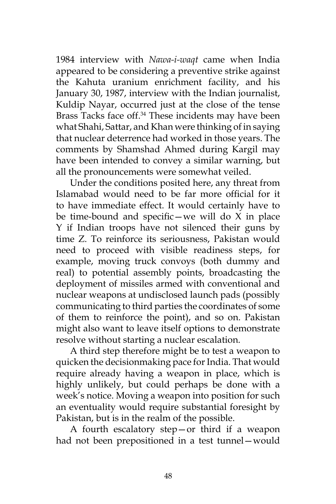1984 interview with *Nawa-i-waqt* came when India appeared to be considering a preventive strike against the Kahuta uranium enrichment facility, and his January 30, 1987, interview with the Indian journalist, Kuldip Nayar, occurred just at the close of the tense Brass Tacks face off.<sup>34</sup> These incidents may have been what Shahi, Sattar, and Khan were thinking of in saying that nuclear deterrence had worked in those years. The comments by Shamshad Ahmed during Kargil may have been intended to convey a similar warning, but all the pronouncements were somewhat veiled.

Under the conditions posited here, any threat from Islamabad would need to be far more official for it to have immediate effect. It would certainly have to be time-bound and specific—we will do  $\overline{X}$  in place Y if Indian troops have not silenced their guns by time Z. To reinforce its seriousness, Pakistan would need to proceed with visible readiness steps, for example, moving truck convoys (both dummy and real) to potential assembly points, broadcasting the deployment of missiles armed with conventional and nuclear weapons at undisclosed launch pads (possibly communicating to third parties the coordinates of some of them to reinforce the point), and so on. Pakistan might also want to leave itself options to demonstrate resolve without starting a nuclear escalation.

A third step therefore might be to test a weapon to quicken the decisionmaking pace for India. That would require already having a weapon in place, which is highly unlikely, but could perhaps be done with a week's notice. Moving a weapon into position for such an eventuality would require substantial foresight by Pakistan, but is in the realm of the possible.

A fourth escalatory step—or third if a weapon had not been prepositioned in a test tunnel—would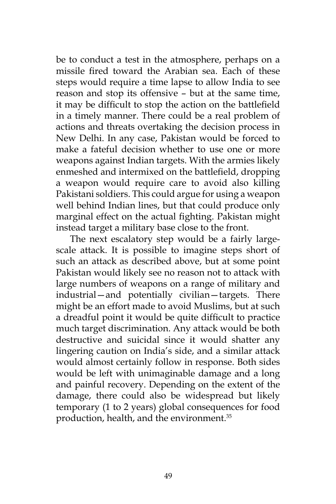be to conduct a test in the atmosphere, perhaps on a missile fired toward the Arabian sea. Each of these steps would require a time lapse to allow India to see reason and stop its offensive – but at the same time, it may be difficult to stop the action on the battlefield in a timely manner. There could be a real problem of actions and threats overtaking the decision process in New Delhi. In any case, Pakistan would be forced to make a fateful decision whether to use one or more weapons against Indian targets. With the armies likely enmeshed and intermixed on the battlefield, dropping a weapon would require care to avoid also killing Pakistani soldiers. This could argue for using a weapon well behind Indian lines, but that could produce only marginal effect on the actual fighting. Pakistan might instead target a military base close to the front.

The next escalatory step would be a fairly largescale attack. It is possible to imagine steps short of such an attack as described above, but at some point Pakistan would likely see no reason not to attack with large numbers of weapons on a range of military and industrial—and potentially civilian—targets. There might be an effort made to avoid Muslims, but at such a dreadful point it would be quite difficult to practice much target discrimination. Any attack would be both destructive and suicidal since it would shatter any lingering caution on India's side, and a similar attack would almost certainly follow in response. Both sides would be left with unimaginable damage and a long and painful recovery. Depending on the extent of the damage, there could also be widespread but likely temporary (1 to 2 years) global consequences for food production, health, and the environment.<sup>35</sup>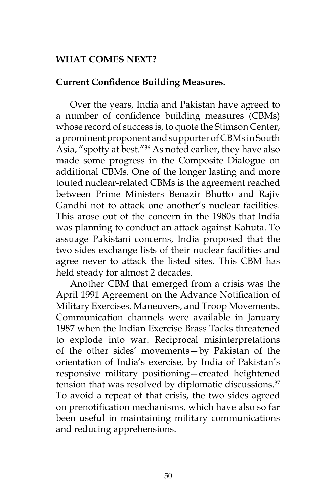# **WHAT COMES NEXT?**

### **Current Confidence Building Measures.**

Over the years, India and Pakistan have agreed to a number of confidence building measures (CBMs) whose record of success is, to quote the Stimson Center, a prominent proponent and supporter of CBMs in South Asia, "spotty at best."36 As noted earlier, they have also made some progress in the Composite Dialogue on additional CBMs. One of the longer lasting and more touted nuclear-related CBMs is the agreement reached between Prime Ministers Benazir Bhutto and Rajiv Gandhi not to attack one another's nuclear facilities. This arose out of the concern in the 1980s that India was planning to conduct an attack against Kahuta. To assuage Pakistani concerns, India proposed that the two sides exchange lists of their nuclear facilities and agree never to attack the listed sites. This CBM has held steady for almost 2 decades.

Another CBM that emerged from a crisis was the April 1991 Agreement on the Advance Notification of Military Exercises, Maneuvers, and Troop Movements. Communication channels were available in January 1987 when the Indian Exercise Brass Tacks threatened to explode into war. Reciprocal misinterpretations of the other sides' movements—by Pakistan of the orientation of India's exercise, by India of Pakistan's responsive military positioning—created heightened tension that was resolved by diplomatic discussions.<sup>37</sup> To avoid a repeat of that crisis, the two sides agreed on prenotification mechanisms, which have also so far been useful in maintaining military communications and reducing apprehensions.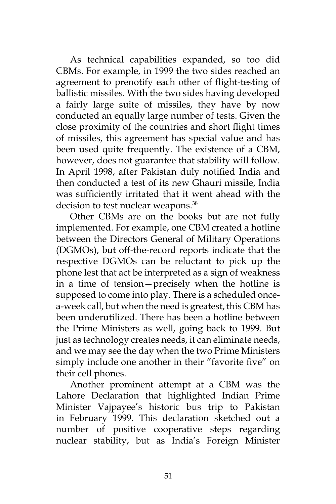As technical capabilities expanded, so too did CBMs. For example, in 1999 the two sides reached an agreement to prenotify each other of flight-testing of ballistic missiles. With the two sides having developed a fairly large suite of missiles, they have by now conducted an equally large number of tests. Given the close proximity of the countries and short flight times of missiles, this agreement has special value and has been used quite frequently. The existence of a CBM, however, does not guarantee that stability will follow. In April 1998, after Pakistan duly notified India and then conducted a test of its new Ghauri missile, India was sufficiently irritated that it went ahead with the decision to test nuclear weapons.<sup>38</sup>

Other CBMs are on the books but are not fully implemented. For example, one CBM created a hotline between the Directors General of Military Operations (DGMOs), but off-the-record reports indicate that the respective DGMOs can be reluctant to pick up the phone lest that act be interpreted as a sign of weakness in a time of tension—precisely when the hotline is supposed to come into play. There is a scheduled oncea-week call, but when the need is greatest, this CBM has been underutilized. There has been a hotline between the Prime Ministers as well, going back to 1999. But just as technology creates needs, it can eliminate needs, and we may see the day when the two Prime Ministers simply include one another in their "favorite five" on their cell phones.

Another prominent attempt at a CBM was the Lahore Declaration that highlighted Indian Prime Minister Vajpayee's historic bus trip to Pakistan in February 1999. This declaration sketched out a number of positive cooperative steps regarding nuclear stability, but as India's Foreign Minister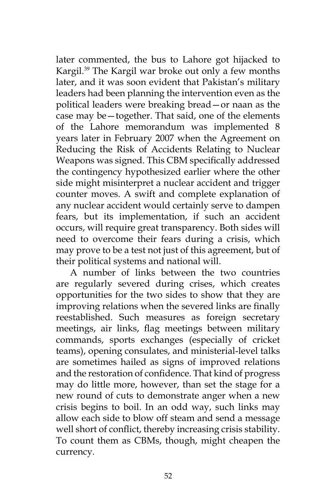later commented, the bus to Lahore got hijacked to Kargil.39 The Kargil war broke out only a few months later, and it was soon evident that Pakistan's military leaders had been planning the intervention even as the political leaders were breaking bread—or naan as the case may be—together. That said, one of the elements of the Lahore memorandum was implemented 8 years later in February 2007 when the Agreement on Reducing the Risk of Accidents Relating to Nuclear Weapons was signed. This CBM specifically addressed the contingency hypothesized earlier where the other side might misinterpret a nuclear accident and trigger counter moves. A swift and complete explanation of any nuclear accident would certainly serve to dampen fears, but its implementation, if such an accident occurs, will require great transparency. Both sides will need to overcome their fears during a crisis, which may prove to be a test not just of this agreement, but of their political systems and national will.

A number of links between the two countries are regularly severed during crises, which creates opportunities for the two sides to show that they are improving relations when the severed links are finally reestablished. Such measures as foreign secretary meetings, air links, flag meetings between military commands, sports exchanges (especially of cricket teams), opening consulates, and ministerial-level talks are sometimes hailed as signs of improved relations and the restoration of confidence. That kind of progress may do little more, however, than set the stage for a new round of cuts to demonstrate anger when a new crisis begins to boil. In an odd way, such links may allow each side to blow off steam and send a message well short of conflict, thereby increasing crisis stability. To count them as CBMs, though, might cheapen the currency.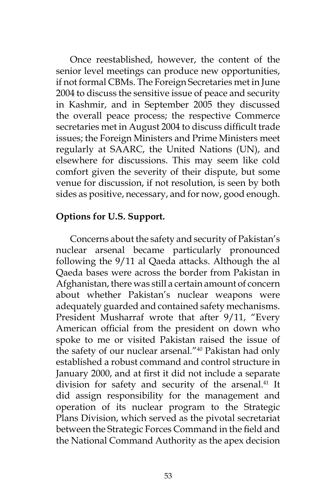Once reestablished, however, the content of the senior level meetings can produce new opportunities, if not formal CBMs. The Foreign Secretaries met in June 2004 to discuss the sensitive issue of peace and security in Kashmir, and in September 2005 they discussed the overall peace process; the respective Commerce secretaries met in August 2004 to discuss difficult trade issues; the Foreign Ministers and Prime Ministers meet regularly at SAARC, the United Nations (UN), and elsewhere for discussions. This may seem like cold comfort given the severity of their dispute, but some venue for discussion, if not resolution, is seen by both sides as positive, necessary, and for now, good enough.

# **Options for U.S. Support.**

Concerns about the safety and security of Pakistan's nuclear arsenal became particularly pronounced following the 9/11 al Qaeda attacks. Although the al Qaeda bases were across the border from Pakistan in Afghanistan, there was still a certain amount of concern about whether Pakistan's nuclear weapons were adequately guarded and contained safety mechanisms. President Musharraf wrote that after 9/11, "Every American official from the president on down who spoke to me or visited Pakistan raised the issue of the safety of our nuclear arsenal."40 Pakistan had only established a robust command and control structure in January 2000, and at first it did not include a separate division for safety and security of the arsenal.<sup>41</sup> It did assign responsibility for the management and operation of its nuclear program to the Strategic Plans Division, which served as the pivotal secretariat between the Strategic Forces Command in the field and the National Command Authority as the apex decision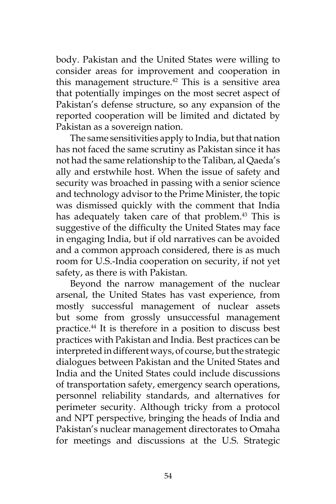body. Pakistan and the United States were willing to consider areas for improvement and cooperation in this management structure. $42$  This is a sensitive area that potentially impinges on the most secret aspect of Pakistan's defense structure, so any expansion of the reported cooperation will be limited and dictated by Pakistan as a sovereign nation.

The same sensitivities apply to India, but that nation has not faced the same scrutiny as Pakistan since it has not had the same relationship to the Taliban, al Qaeda's ally and erstwhile host. When the issue of safety and security was broached in passing with a senior science and technology advisor to the Prime Minister, the topic was dismissed quickly with the comment that India has adequately taken care of that problem.<sup>43</sup> This is suggestive of the difficulty the United States may face in engaging India, but if old narratives can be avoided and a common approach considered, there is as much room for U.S.-India cooperation on security, if not yet safety, as there is with Pakistan.

Beyond the narrow management of the nuclear arsenal, the United States has vast experience, from mostly successful management of nuclear assets but some from grossly unsuccessful management practice.44 It is therefore in a position to discuss best practices with Pakistan and India. Best practices can be interpreted in different ways, of course, but the strategic dialogues between Pakistan and the United States and India and the United States could include discussions of transportation safety, emergency search operations, personnel reliability standards, and alternatives for perimeter security. Although tricky from a protocol and NPT perspective, bringing the heads of India and Pakistan's nuclear management directorates to Omaha for meetings and discussions at the U.S. Strategic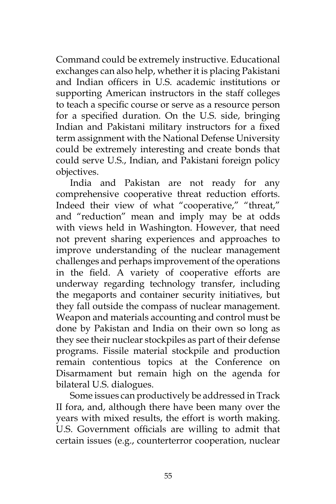Command could be extremely instructive. Educational exchanges can also help, whether it is placing Pakistani and Indian officers in U.S. academic institutions or supporting American instructors in the staff colleges to teach a specific course or serve as a resource person for a specified duration. On the U.S. side, bringing Indian and Pakistani military instructors for a fixed term assignment with the National Defense University could be extremely interesting and create bonds that could serve U.S., Indian, and Pakistani foreign policy objectives.

India and Pakistan are not ready for any comprehensive cooperative threat reduction efforts. Indeed their view of what "cooperative," "threat," and "reduction" mean and imply may be at odds with views held in Washington. However, that need not prevent sharing experiences and approaches to improve understanding of the nuclear management challenges and perhaps improvement of the operations in the field. A variety of cooperative efforts are underway regarding technology transfer, including the megaports and container security initiatives, but they fall outside the compass of nuclear management. Weapon and materials accounting and control must be done by Pakistan and India on their own so long as they see their nuclear stockpiles as part of their defense programs. Fissile material stockpile and production remain contentious topics at the Conference on Disarmament but remain high on the agenda for bilateral U.S. dialogues.

Some issues can productively be addressed in Track II fora, and, although there have been many over the years with mixed results, the effort is worth making. U.S. Government officials are willing to admit that certain issues (e.g., counterterror cooperation, nuclear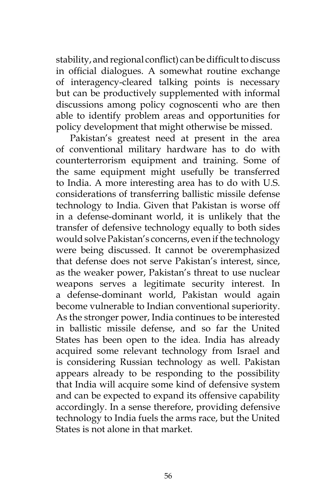stability, and regional conflict) can be difficult to discuss in official dialogues. A somewhat routine exchange of interagency-cleared talking points is necessary but can be productively supplemented with informal discussions among policy cognoscenti who are then able to identify problem areas and opportunities for policy development that might otherwise be missed.

Pakistan's greatest need at present in the area of conventional military hardware has to do with counterterrorism equipment and training. Some of the same equipment might usefully be transferred to India. A more interesting area has to do with U.S. considerations of transferring ballistic missile defense technology to India. Given that Pakistan is worse off in a defense-dominant world, it is unlikely that the transfer of defensive technology equally to both sides would solve Pakistan's concerns, even if the technology were being discussed. It cannot be overemphasized that defense does not serve Pakistan's interest, since, as the weaker power, Pakistan's threat to use nuclear weapons serves a legitimate security interest. In a defense-dominant world, Pakistan would again become vulnerable to Indian conventional superiority. As the stronger power, India continues to be interested in ballistic missile defense, and so far the United States has been open to the idea. India has already acquired some relevant technology from Israel and is considering Russian technology as well. Pakistan appears already to be responding to the possibility that India will acquire some kind of defensive system and can be expected to expand its offensive capability accordingly. In a sense therefore, providing defensive technology to India fuels the arms race, but the United States is not alone in that market.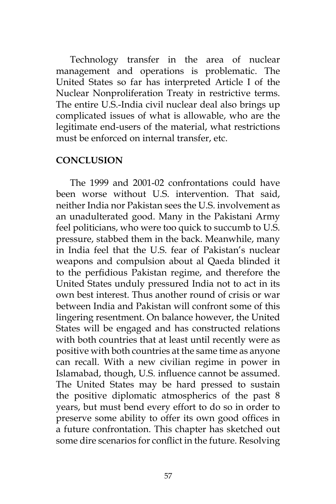Technology transfer in the area of nuclear management and operations is problematic. The United States so far has interpreted Article I of the Nuclear Nonproliferation Treaty in restrictive terms. The entire U.S.-India civil nuclear deal also brings up complicated issues of what is allowable, who are the legitimate end-users of the material, what restrictions must be enforced on internal transfer, etc.

### **CONCLUSION**

The 1999 and 2001-02 confrontations could have been worse without U.S. intervention. That said, neither India nor Pakistan sees the U.S. involvement as an unadulterated good. Many in the Pakistani Army feel politicians, who were too quick to succumb to U.S. pressure, stabbed them in the back. Meanwhile, many in India feel that the U.S. fear of Pakistan's nuclear weapons and compulsion about al Qaeda blinded it to the perfidious Pakistan regime, and therefore the United States unduly pressured India not to act in its own best interest. Thus another round of crisis or war between India and Pakistan will confront some of this lingering resentment. On balance however, the United States will be engaged and has constructed relations with both countries that at least until recently were as positive with both countries at the same time as anyone can recall. With a new civilian regime in power in Islamabad, though, U.S. influence cannot be assumed. The United States may be hard pressed to sustain the positive diplomatic atmospherics of the past 8 years, but must bend every effort to do so in order to preserve some ability to offer its own good offices in a future confrontation. This chapter has sketched out some dire scenarios for conflict in the future. Resolving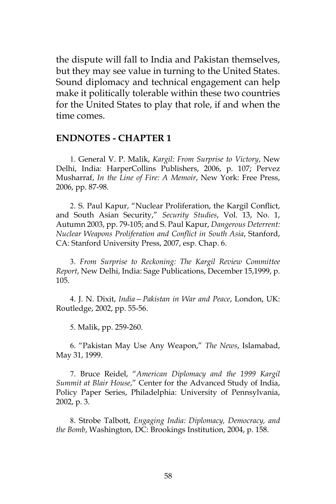the dispute will fall to India and Pakistan themselves, but they may see value in turning to the United States. Sound diplomacy and technical engagement can help make it politically tolerable within these two countries for the United States to play that role, if and when the time comes.

#### **ENDNOTES - CHAPTER 1**

 1. General V. P. Malik, *Kargil: From Surprise to Victory*, New Delhi, India: HarperCollins Publishers, 2006, p. 107; Pervez Musharraf, *In the Line of Fire: A Memoir*, New York: Free Press, 2006, pp. 87-98.

 2. S. Paul Kapur, "Nuclear Proliferation, the Kargil Conflict, and South Asian Security," *Security Studies*, Vol. 13, No. 1, Autumn 2003, pp. 79-105; and S. Paul Kapur, *Dangerous Deterrent: Nuclear Weapons Proliferation and Conflict in South Asia*, Stanford, CA: Stanford University Press, 2007, esp. Chap. 6.

 3. *From Surprise to Reckoning: The Kargil Review Committee Report*, New Delhi, India: Sage Publications, December 15,1999, p. 105.

 4. J. N. Dixit, *India—Pakistan in War and Peace*, London, UK: Routledge, 2002, pp. 55-56.

 5. Malik, pp. 259-260.

 6. "Pakistan May Use Any Weapon," *The News*, Islamabad, May 31, 1999.

 7. Bruce Reidel, "*American Diplomacy and the 1999 Kargil Summit at Blair House*," Center for the Advanced Study of India, Policy Paper Series, Philadelphia: University of Pennsylvania, 2002, p. 3.

 8. Strobe Talbott, *Engaging India: Diplomacy, Democracy, and the Bomb*, Washington, DC: Brookings Institution, 2004, p. 158.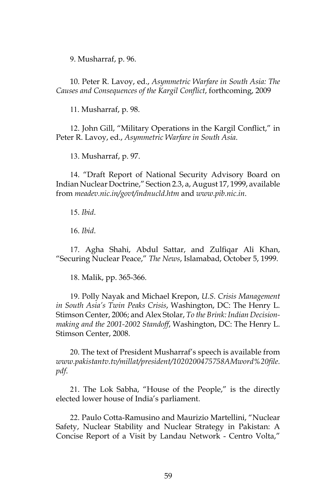9. Musharraf, p. 96.

10. Peter R. Lavoy, ed., *Asymmetric Warfare in South Asia: The Causes and Consequences of the Kargil Conflict*, forthcoming, 2009

 11. Musharraf, p. 98.

 12. John Gill, "Military Operations in the Kargil Conflict," in Peter R. Lavoy, ed., *Asymmetric Warfare in South Asia*.

 13. Musharraf, p. 97.

 14. "Draft Report of National Security Advisory Board on Indian Nuclear Doctrine," Section 2.3, a, August 17, 1999, available from *meadev.nic.in/govt/indnucld.htm* and *www.pib.nic.in*.

 15. *Ibid*.

 16. *Ibid*.

 17. Agha Shahi, Abdul Sattar, and Zulfiqar Ali Khan, "Securing Nuclear Peace," *The News*, Islamabad, October 5, 1999.

 18. Malik, pp. 365-366.

 19. Polly Nayak and Michael Krepon, *U.S. Crisis Management in South Asia's Twin Peaks Crisis*, Washington, DC: The Henry L. Stimson Center, 2006; and Alex Stolar, *To the Brink: Indian Decisionmaking and the 2001-2002 Standoff*, Washington, DC: The Henry L. Stimson Center, 2008.

 20. The text of President Musharraf's speech is available from *www.pakistantv.tv/millat/president/1020200475758AMword%20file. pdf*.

 21. The Lok Sabha, "House of the People," is the directly elected lower house of India's parliament.

 22. Paulo Cotta-Ramusino and Maurizio Martellini, "Nuclear Safety, Nuclear Stability and Nuclear Strategy in Pakistan: A Concise Report of a Visit by Landau Network - Centro Volta,"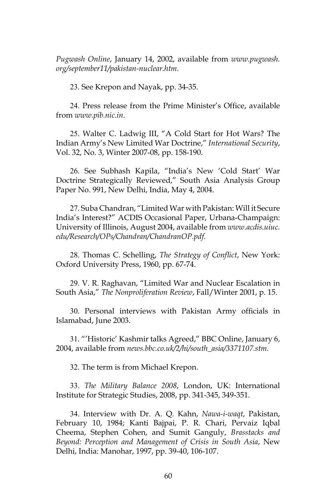*Pugwash Online*, January 14, 2002, available from *www.pugwash. org/september11/pakistan-nuclear.htm*.

 23. See Krepon and Nayak, pp. 34-35.

 24. Press release from the Prime Minister's Office, available from *www.pib.nic.in*.

 25. Walter C. Ladwig III, "A Cold Start for Hot Wars? The Indian Army's New Limited War Doctrine," *International Security*, Vol. 32, No. 3, Winter 2007-08, pp. 158-190.

 26. See Subhash Kapila, "India's New 'Cold Start' War Doctrine Strategically Reviewed," South Asia Analysis Group Paper No. 991, New Delhi, India, May 4, 2004.

 27. Suba Chandran, "Limited War with Pakistan: Will it Secure India's Interest?" ACDIS Occasional Paper, Urbana-Champaign: University of Illinois, August 2004, available from *www.acdis.uiuc. edu/Research/OPs/Chandran/ChandranOP.pdf.*

 28. Thomas C. Schelling, *The Strategy of Conflict*, New York: Oxford University Press, 1960, pp. 67-74.

 29. V. R. Raghavan, "Limited War and Nuclear Escalation in South Asia," *The Nonproliferation Review*, Fall/Winter 2001, p. 15.

 30. Personal interviews with Pakistan Army officials in Islamabad, June 2003.

 31. "'Historic' Kashmir talks Agreed," BBC Online, January 6, 2004, available from *news.bbc.co.uk/2/hi/south\_asia/3371107.stm*.

 32. The term is from Michael Krepon.

 33. *The Military Balance 2008*, London, UK: International Institute for Strategic Studies, 2008, pp. 341-345, 349-351.

 34. Interview with Dr. A. Q. Kahn, *Nawa-i-waqt*, Pakistan, February 10, 1984; Kanti Bajpai, P. R. Chari, Pervaiz Iqbal Cheema, Stephen Cohen, and Sumit Ganguly, *Brasstacks and Beyond: Perception and Management of Crisis in South Asia*, New Delhi, India: Manohar, 1997, pp. 39-40, 106-107.